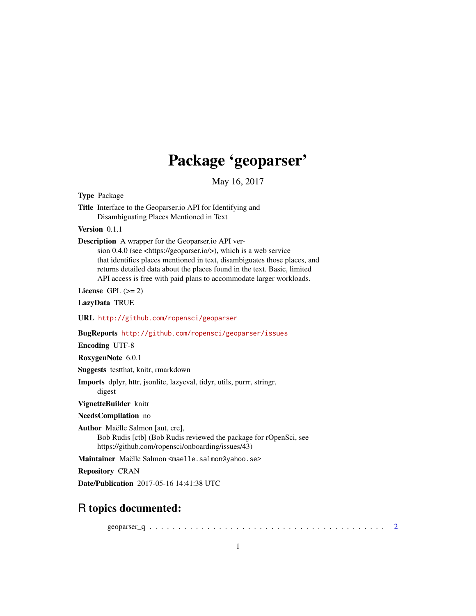## Package 'geoparser'

May 16, 2017

Type Package

Title Interface to the Geoparser.io API for Identifying and Disambiguating Places Mentioned in Text

Version 0.1.1

Description A wrapper for the Geoparser.io API ver-

sion 0.4.0 (see <https://geoparser.io/>), which is a web service that identifies places mentioned in text, disambiguates those places, and returns detailed data about the places found in the text. Basic, limited API access is free with paid plans to accommodate larger workloads.

License GPL  $(>= 2)$ 

LazyData TRUE

URL <http://github.com/ropensci/geoparser>

BugReports <http://github.com/ropensci/geoparser/issues>

Encoding UTF-8

RoxygenNote 6.0.1

Suggests testthat, knitr, rmarkdown

Imports dplyr, httr, jsonlite, lazyeval, tidyr, utils, purrr, stringr,

digest

VignetteBuilder knitr

NeedsCompilation no

Author Maëlle Salmon [aut, cre], Bob Rudis [ctb] (Bob Rudis reviewed the package for rOpenSci, see https://github.com/ropensci/onboarding/issues/43)

Maintainer Maëlle Salmon <maelle.salmon@yahoo.se>

Repository CRAN

Date/Publication 2017-05-16 14:41:38 UTC

### R topics documented:

geoparser\_q . . . . . . . . . . . . . . . . . . . . . . . . . . . . . . . . . . . . . . . . . [2](#page-1-0)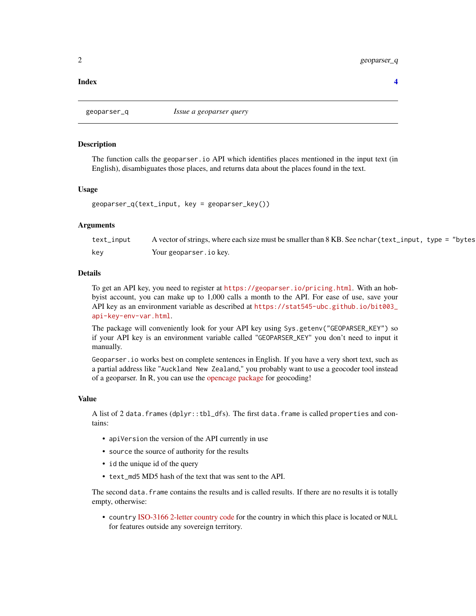#### <span id="page-1-0"></span>**Index** [4](#page-3-0)

#### **Description**

The function calls the geoparser.io API which identifies places mentioned in the input text (in English), disambiguates those places, and returns data about the places found in the text.

#### Usage

```
geoparser_q(text_input, key = geoparser_key())
```
#### **Arguments**

| text_input | A vector of strings, where each size must be smaller than 8 KB. See nchar (text_input, type = "bytes |
|------------|------------------------------------------------------------------------------------------------------|
| kev        | Your geoparser. io key.                                                                              |

#### Details

To get an API key, you need to register at <https://geoparser.io/pricing.html>. With an hobbyist account, you can make up to 1,000 calls a month to the API. For ease of use, save your API key as an environment variable as described at [https://stat545-ubc.github.io/bit003\\_](https://stat545-ubc.github.io/bit003_api-key-env-var.html) [api-key-env-var.html](https://stat545-ubc.github.io/bit003_api-key-env-var.html).

The package will conveniently look for your API key using Sys.getenv("GEOPARSER\_KEY") so if your API key is an environment variable called "GEOPARSER\_KEY" you don't need to input it manually.

Geoparser.io works best on complete sentences in English. If you have a very short text, such as a partial address like "Auckland New Zealand," you probably want to use a geocoder tool instead of a geoparser. In R, you can use the [opencage package](https://cran.r-project.org/package=opencage) for geocoding!

#### Value

A list of 2 data.frames (dplyr::tbl\_dfs). The first data.frame is called properties and contains:

- apiVersion the version of the API currently in use
- source the source of authority for the results
- id the unique id of the query
- text md5 MD5 hash of the text that was sent to the API.

The second data. frame contains the results and is called results. If there are no results it is totally empty, otherwise:

• country [ISO-3166 2-letter country code](https://en.wikipedia.org/wiki/ISO_3166-1_alpha-2) for the country in which this place is located or NULL for features outside any sovereign territory.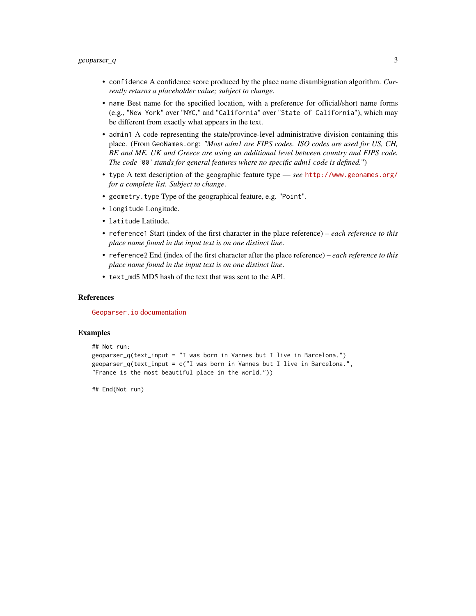- confidence A confidence score produced by the place name disambiguation algorithm. *Currently returns a placeholder value; subject to change*.
- name Best name for the specified location, with a preference for official/short name forms (e.g., "New York" over "NYC," and "California" over "State of California"), which may be different from exactly what appears in the text.
- admin1 A code representing the state/province-level administrative division containing this place. (From GeoNames.org: *"Most adm1 are FIPS codes. ISO codes are used for US, CH, BE and ME. UK and Greece are using an additional level between country and FIPS code. The code '*00*' stands for general features where no specific adm1 code is defined.*")
- type A text description of the geographic feature type *see* <http://www.geonames.org/> *for a complete list. Subject to change*.
- geometry.type Type of the geographical feature, e.g. "Point".
- longitude Longitude.
- latitude Latitude.
- reference1 Start (index of the first character in the place reference) *each reference to this place name found in the input text is on one distinct line*.
- reference2 End (index of the first character after the place reference) *each reference to this place name found in the input text is on one distinct line*.
- text\_md5 MD5 hash of the text that was sent to the API.

#### References

Geoparser.io [documentation](https://geoparser.io/docs.html)

#### **Examples**

```
## Not run:
geoparser_q(text_input = "I was born in Vannes but I live in Barcelona.")
geoparser_q(text_input = c("I was born in Vannes but I live in Barcelona.",
"France is the most beautiful place in the world."))
```
## End(Not run)